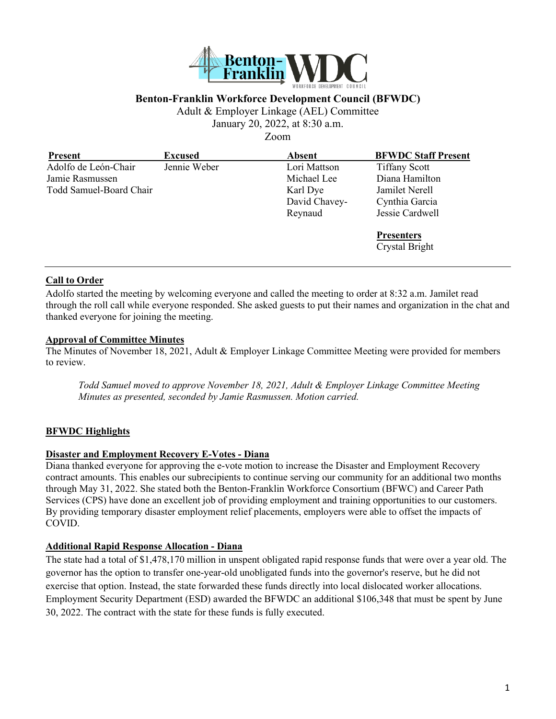

## **Benton-Franklin Workforce Development Council (BFWDC)**

Adult & Employer Linkage (AEL) Committee

January 20, 2022, at 8:30 a.m.

Zoom

| <b>Present</b>          | <b>Excused</b> | <b>Absent</b> | <b>BFWDC Staff Present</b> |
|-------------------------|----------------|---------------|----------------------------|
| Adolfo de León-Chair    | Jennie Weber   | Lori Mattson  | <b>Tiffany Scott</b>       |
| Jamie Rasmussen         |                | Michael Lee   | Diana Hamilton             |
| Todd Samuel-Board Chair |                | Karl Dye      | Jamilet Nerell             |
|                         |                | David Chavey- | Cynthia Garcia             |
|                         |                | Reynaud       | Jessie Cardwell            |
|                         |                |               | <b>Presenters</b>          |
|                         |                |               | Crystal Bright             |
|                         |                |               |                            |

#### **Call to Order**

Adolfo started the meeting by welcoming everyone and called the meeting to order at 8:32 a.m. Jamilet read through the roll call while everyone responded. She asked guests to put their names and organization in the chat and thanked everyone for joining the meeting.

#### **Approval of Committee Minutes**

The Minutes of November 18, 2021, Adult & Employer Linkage Committee Meeting were provided for members to review.

*Todd Samuel moved to approve November 18, 2021, Adult & Employer Linkage Committee Meeting Minutes as presented, seconded by Jamie Rasmussen. Motion carried.*

## **BFWDC Highlights**

#### **Disaster and Employment Recovery E-Votes - Diana**

Diana thanked everyone for approving the e-vote motion to increase the Disaster and Employment Recovery contract amounts. This enables our subrecipients to continue serving our community for an additional two months through May 31, 2022. She stated both the Benton-Franklin Workforce Consortium (BFWC) and Career Path Services (CPS) have done an excellent job of providing employment and training opportunities to our customers. By providing temporary disaster employment relief placements, employers were able to offset the impacts of COVID.

#### **Additional Rapid Response Allocation - Diana**

The state had a total of \$1,478,170 million in unspent obligated rapid response funds that were over a year old. The governor has the option to transfer one-year-old unobligated funds into the governor's reserve, but he did not exercise that option. Instead, the state forwarded these funds directly into local dislocated worker allocations. Employment Security Department (ESD) awarded the BFWDC an additional \$106,348 that must be spent by June 30, 2022. The contract with the state for these funds is fully executed.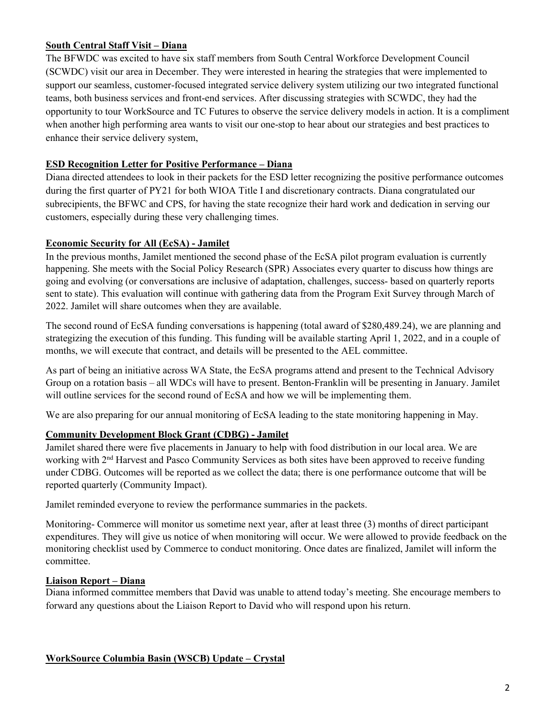## **South Central Staff Visit – Diana**

The BFWDC was excited to have six staff members from South Central Workforce Development Council (SCWDC) visit our area in December. They were interested in hearing the strategies that were implemented to support our seamless, customer-focused integrated service delivery system utilizing our two integrated functional teams, both business services and front-end services. After discussing strategies with SCWDC, they had the opportunity to tour WorkSource and TC Futures to observe the service delivery models in action. It is a compliment when another high performing area wants to visit our one-stop to hear about our strategies and best practices to enhance their service delivery system,

## **ESD Recognition Letter for Positive Performance – Diana**

Diana directed attendees to look in their packets for the ESD letter recognizing the positive performance outcomes during the first quarter of PY21 for both WIOA Title I and discretionary contracts. Diana congratulated our subrecipients, the BFWC and CPS, for having the state recognize their hard work and dedication in serving our customers, especially during these very challenging times.

## **Economic Security for All (EcSA) - Jamilet**

In the previous months, Jamilet mentioned the second phase of the EcSA pilot program evaluation is currently happening. She meets with the Social Policy Research (SPR) Associates every quarter to discuss how things are going and evolving (or conversations are inclusive of adaptation, challenges, success- based on quarterly reports sent to state). This evaluation will continue with gathering data from the Program Exit Survey through March of 2022. Jamilet will share outcomes when they are available.

The second round of EcSA funding conversations is happening (total award of \$280,489.24), we are planning and strategizing the execution of this funding. This funding will be available starting April 1, 2022, and in a couple of months, we will execute that contract, and details will be presented to the AEL committee.

As part of being an initiative across WA State, the EcSA programs attend and present to the Technical Advisory Group on a rotation basis – all WDCs will have to present. Benton-Franklin will be presenting in January. Jamilet will outline services for the second round of EcSA and how we will be implementing them.

We are also preparing for our annual monitoring of EcSA leading to the state monitoring happening in May.

## **Community Development Block Grant (CDBG) - Jamilet**

Jamilet shared there were five placements in January to help with food distribution in our local area. We are working with 2<sup>nd</sup> Harvest and Pasco Community Services as both sites have been approved to receive funding under CDBG. Outcomes will be reported as we collect the data; there is one performance outcome that will be reported quarterly (Community Impact).

Jamilet reminded everyone to review the performance summaries in the packets.

Monitoring- Commerce will monitor us sometime next year, after at least three (3) months of direct participant expenditures. They will give us notice of when monitoring will occur. We were allowed to provide feedback on the monitoring checklist used by Commerce to conduct monitoring. Once dates are finalized, Jamilet will inform the committee.

## **Liaison Report – Diana**

Diana informed committee members that David was unable to attend today's meeting. She encourage members to forward any questions about the Liaison Report to David who will respond upon his return.

## **WorkSource Columbia Basin (WSCB) Update – Crystal**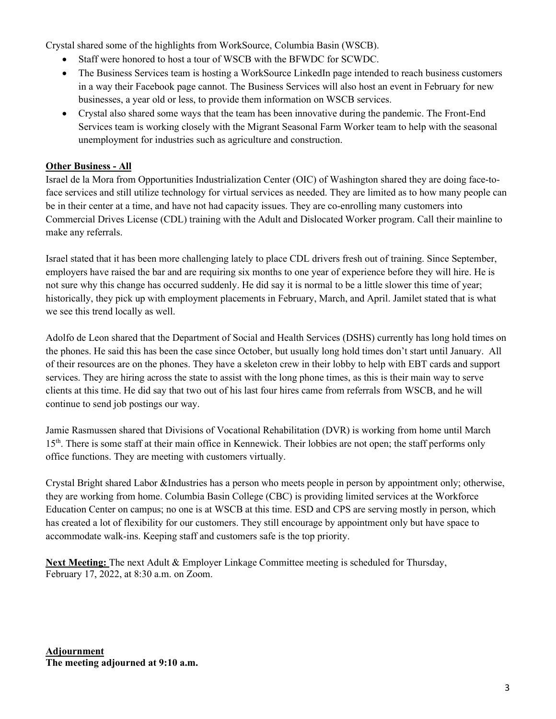Crystal shared some of the highlights from WorkSource, Columbia Basin (WSCB).

- Staff were honored to host a tour of WSCB with the BFWDC for SCWDC.
- The Business Services team is hosting a WorkSource LinkedIn page intended to reach business customers in a way their Facebook page cannot. The Business Services will also host an event in February for new businesses, a year old or less, to provide them information on WSCB services.
- Crystal also shared some ways that the team has been innovative during the pandemic. The Front-End Services team is working closely with the Migrant Seasonal Farm Worker team to help with the seasonal unemployment for industries such as agriculture and construction.

# **Other Business - All**

Israel de la Mora from Opportunities Industrialization Center (OIC) of Washington shared they are doing face-toface services and still utilize technology for virtual services as needed. They are limited as to how many people can be in their center at a time, and have not had capacity issues. They are co-enrolling many customers into Commercial Drives License (CDL) training with the Adult and Dislocated Worker program. Call their mainline to make any referrals.

Israel stated that it has been more challenging lately to place CDL drivers fresh out of training. Since September, employers have raised the bar and are requiring six months to one year of experience before they will hire. He is not sure why this change has occurred suddenly. He did say it is normal to be a little slower this time of year; historically, they pick up with employment placements in February, March, and April. Jamilet stated that is what we see this trend locally as well.

Adolfo de Leon shared that the Department of Social and Health Services (DSHS) currently has long hold times on the phones. He said this has been the case since October, but usually long hold times don't start until January. All of their resources are on the phones. They have a skeleton crew in their lobby to help with EBT cards and support services. They are hiring across the state to assist with the long phone times, as this is their main way to serve clients at this time. He did say that two out of his last four hires came from referrals from WSCB, and he will continue to send job postings our way.

Jamie Rasmussen shared that Divisions of Vocational Rehabilitation (DVR) is working from home until March 15<sup>th</sup>. There is some staff at their main office in Kennewick. Their lobbies are not open; the staff performs only office functions. They are meeting with customers virtually.

Crystal Bright shared Labor &Industries has a person who meets people in person by appointment only; otherwise, they are working from home. Columbia Basin College (CBC) is providing limited services at the Workforce Education Center on campus; no one is at WSCB at this time. ESD and CPS are serving mostly in person, which has created a lot of flexibility for our customers. They still encourage by appointment only but have space to accommodate walk-ins. Keeping staff and customers safe is the top priority.

**Next Meeting:** The next Adult & Employer Linkage Committee meeting is scheduled for Thursday, February 17, 2022, at 8:30 a.m. on Zoom.